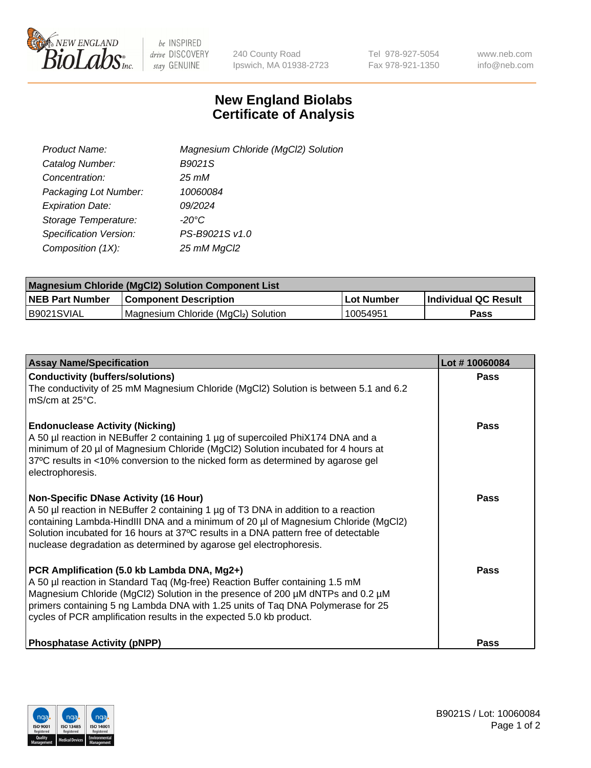

 $be$  INSPIRED drive DISCOVERY stay GENUINE

240 County Road Ipswich, MA 01938-2723 Tel 978-927-5054 Fax 978-921-1350 www.neb.com info@neb.com

## **New England Biolabs Certificate of Analysis**

| Product Name:           | Magnesium Chloride (MgCl2) Solution |
|-------------------------|-------------------------------------|
| Catalog Number:         | B9021S                              |
| Concentration:          | $25 \, \text{m}$ M                  |
| Packaging Lot Number:   | 10060084                            |
| <b>Expiration Date:</b> | 09/2024                             |
| Storage Temperature:    | $-20^{\circ}$ C                     |
| Specification Version:  | PS-B9021S v1.0                      |
| Composition (1X):       | 25 mM MgCl2                         |

| <b>Magnesium Chloride (MgCl2) Solution Component List</b> |                                     |             |                             |  |  |
|-----------------------------------------------------------|-------------------------------------|-------------|-----------------------------|--|--|
| <b>NEB Part Number</b>                                    | <b>Component Description</b>        | ⊺Lot Number | <b>Individual QC Result</b> |  |  |
| B9021SVIAL                                                | Magnesium Chloride (MgCl2) Solution | 10054951    | <b>Pass</b>                 |  |  |

| <b>Assay Name/Specification</b>                                                                                                                                                                                                                                                                                                                                                       | Lot #10060084 |
|---------------------------------------------------------------------------------------------------------------------------------------------------------------------------------------------------------------------------------------------------------------------------------------------------------------------------------------------------------------------------------------|---------------|
| <b>Conductivity (buffers/solutions)</b><br>The conductivity of 25 mM Magnesium Chloride (MgCl2) Solution is between 5.1 and 6.2<br>l mS/cm at 25°C.                                                                                                                                                                                                                                   | <b>Pass</b>   |
| <b>Endonuclease Activity (Nicking)</b><br>A 50 µl reaction in NEBuffer 2 containing 1 µg of supercoiled PhiX174 DNA and a<br>minimum of 20 µl of Magnesium Chloride (MgCl2) Solution incubated for 4 hours at<br>37°C results in <10% conversion to the nicked form as determined by agarose gel<br>electrophoresis.                                                                  | Pass          |
| <b>Non-Specific DNase Activity (16 Hour)</b><br>A 50 µl reaction in NEBuffer 2 containing 1 µg of T3 DNA in addition to a reaction<br>containing Lambda-HindIII DNA and a minimum of 20 µl of Magnesium Chloride (MgCl2)<br>Solution incubated for 16 hours at 37°C results in a DNA pattern free of detectable<br>nuclease degradation as determined by agarose gel electrophoresis. | Pass          |
| PCR Amplification (5.0 kb Lambda DNA, Mg2+)<br>A 50 µl reaction in Standard Taq (Mg-free) Reaction Buffer containing 1.5 mM<br>Magnesium Chloride (MgCl2) Solution in the presence of 200 µM dNTPs and 0.2 µM<br>primers containing 5 ng Lambda DNA with 1.25 units of Taq DNA Polymerase for 25<br>cycles of PCR amplification results in the expected 5.0 kb product.               | Pass          |
| <b>Phosphatase Activity (pNPP)</b>                                                                                                                                                                                                                                                                                                                                                    | Pass          |